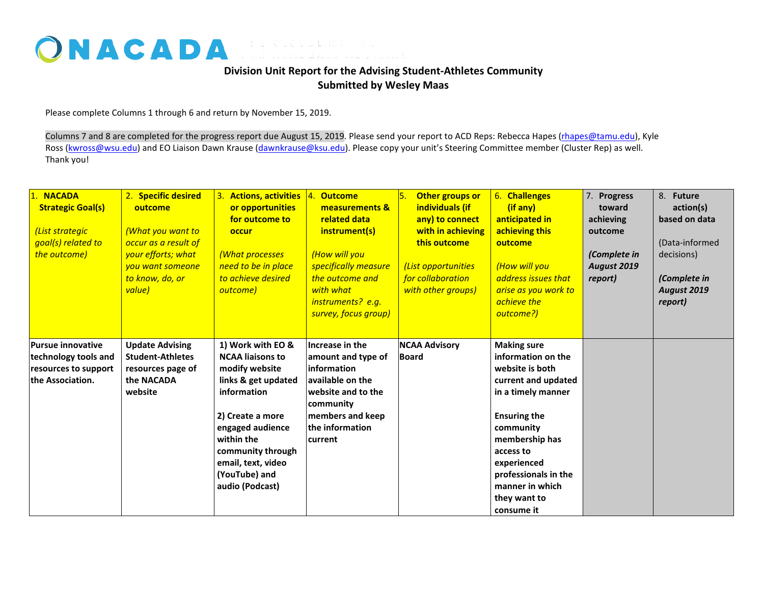## ONACADA FOR ACADEMIC ADVISING

## **Division Unit Report for the Advising Student-Athletes Community Submitted by Wesley Maas**

Please complete Columns 1 through 6 and return by November 15, 2019.

Columns 7 and 8 are completed for the progress report due August 15, 2019. Please send your report to ACD Reps: Rebecca Hapes (rhapes@tamu.edu), Kyle Ross [\(kwross@wsu.edu\)](mailto:kwross@wsu.edu) and EO Liaison Dawn Krause (dawnkrause@ksu.edu). Please copy your unit's Steering Committee member (Cluster Rep) as well. Thank you!

| 1. NACADA<br><b>Strategic Goal(s)</b><br>(List strategic<br>goal(s) related to<br>the outcome) | 2. Specific desired<br>outcome<br>(What you want to<br>occur as a result of<br>your efforts; what<br>you want someone<br>to know, do, or<br>value) | 3. Actions, activities 4.<br>or opportunities<br>for outcome to<br><b>occur</b><br>(What processes<br>need to be in place<br>to achieve desired<br>outcome)                                                                               | <b>Outcome</b><br>measurements &<br>related data<br>instrument(s)<br>(How will you<br>specifically measure<br>the outcome and<br>with what<br>instruments? e.g.<br>survey, focus group) | Other groups or<br>١5.<br>individuals (if<br>any) to connect<br>with in achieving<br>this outcome<br>(List opportunities<br>for collaboration<br>with other groups) | 6. Challenges<br>(if any)<br>anticipated in<br>achieving this<br>outcome<br>(How will you<br>address issues that<br>arise as you work to<br>achieve the<br>outcome?)                                                                                                | 7. Progress<br>toward<br>achieving<br>outcome<br>(Complete in<br>August 2019<br>report) | 8. Future<br>action(s)<br>based on data<br>(Data-informed<br>decisions)<br>(Complete in<br><b>August 2019</b><br>report) |
|------------------------------------------------------------------------------------------------|----------------------------------------------------------------------------------------------------------------------------------------------------|-------------------------------------------------------------------------------------------------------------------------------------------------------------------------------------------------------------------------------------------|-----------------------------------------------------------------------------------------------------------------------------------------------------------------------------------------|---------------------------------------------------------------------------------------------------------------------------------------------------------------------|---------------------------------------------------------------------------------------------------------------------------------------------------------------------------------------------------------------------------------------------------------------------|-----------------------------------------------------------------------------------------|--------------------------------------------------------------------------------------------------------------------------|
| <b>Pursue innovative</b><br>technology tools and<br>resources to support<br>the Association.   | <b>Update Advising</b><br><b>Student-Athletes</b><br>resources page of<br>the NACADA<br>website                                                    | 1) Work with EO &<br><b>NCAA liaisons to</b><br>modify website<br>links & get updated<br>information<br>2) Create a more<br>engaged audience<br>within the<br>community through<br>email, text, video<br>(YouTube) and<br>audio (Podcast) | Increase in the<br>amount and type of<br>information<br>available on the<br>website and to the<br>community<br>members and keep<br>the information<br>current                           | <b>NCAA Advisory</b><br><b>Board</b>                                                                                                                                | <b>Making sure</b><br>information on the<br>website is both<br>current and updated<br>in a timely manner<br><b>Ensuring the</b><br>community<br>membership has<br>access to<br>experienced<br>professionals in the<br>manner in which<br>they want to<br>consume it |                                                                                         |                                                                                                                          |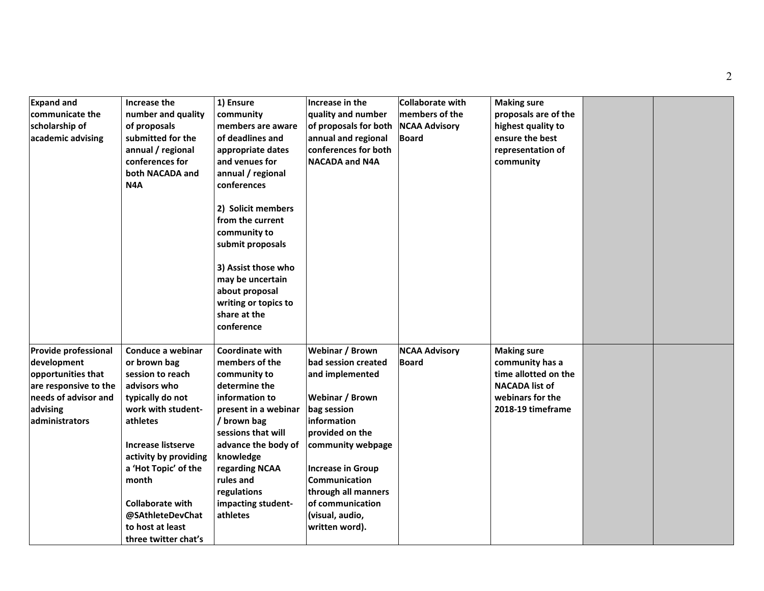| <b>Expand and</b><br>communicate the<br>scholarship of<br>academic advising                                                                     | Increase the<br>number and quality<br>of proposals<br>submitted for the<br>annual / regional<br>conferences for<br>both NACADA and<br>N4A                                                                                                                                                                     | 1) Ensure<br>community<br>members are aware<br>of deadlines and<br>appropriate dates<br>and venues for<br>annual / regional<br>conferences<br>2) Solicit members<br>from the current<br>community to<br>submit proposals<br>3) Assist those who<br>may be uncertain<br>about proposal<br>writing or topics to<br>share at the<br>conference | Increase in the<br>quality and number<br>of proposals for both<br>annual and regional<br>conferences for both<br><b>NACADA and N4A</b>                                                                                                                                          | Collaborate with<br>members of the<br><b>NCAA Advisory</b><br><b>Board</b> | <b>Making sure</b><br>proposals are of the<br>highest quality to<br>ensure the best<br>representation of<br>community           |  |
|-------------------------------------------------------------------------------------------------------------------------------------------------|---------------------------------------------------------------------------------------------------------------------------------------------------------------------------------------------------------------------------------------------------------------------------------------------------------------|---------------------------------------------------------------------------------------------------------------------------------------------------------------------------------------------------------------------------------------------------------------------------------------------------------------------------------------------|---------------------------------------------------------------------------------------------------------------------------------------------------------------------------------------------------------------------------------------------------------------------------------|----------------------------------------------------------------------------|---------------------------------------------------------------------------------------------------------------------------------|--|
| <b>Provide professional</b><br>development<br>opportunities that<br>are responsive to the<br>needs of advisor and<br>advising<br>administrators | Conduce a webinar<br>or brown bag<br>session to reach<br>advisors who<br>typically do not<br>work with student-<br>athletes<br><b>Increase listserve</b><br>activity by providing<br>a 'Hot Topic' of the<br>month<br><b>Collaborate with</b><br>@SAthleteDevChat<br>to host at least<br>three twitter chat's | <b>Coordinate with</b><br>members of the<br>community to<br>determine the<br>information to<br>present in a webinar<br>/ brown bag<br>sessions that will<br>advance the body of<br>knowledge<br>regarding NCAA<br>rules and<br>regulations<br>impacting student-<br>athletes                                                                | Webinar / Brown<br>bad session created<br>and implemented<br>Webinar / Brown<br>bag session<br>information<br>provided on the<br>community webpage<br><b>Increase in Group</b><br>Communication<br>through all manners<br>of communication<br>(visual, audio,<br>written word). | <b>NCAA Advisory</b><br>Board                                              | <b>Making sure</b><br>community has a<br>time allotted on the<br><b>NACADA list of</b><br>webinars for the<br>2018-19 timeframe |  |